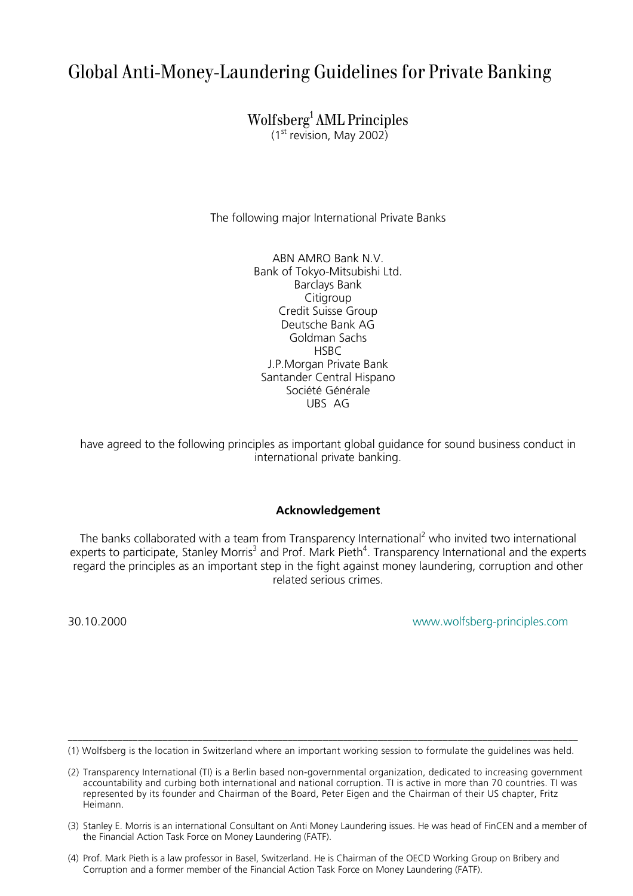## Global Anti-Money-Laundering Guidelines for Private Banking

Wolfsberg<sup>1</sup> AML Principles (1<sup>st</sup> revision, May 2002)

The following major International Private Banks

ABN AMRO Bank N.V. Bank of Tokyo-Mitsubishi Ltd. Barclays Bank Citigroup Credit Suisse Group Deutsche Bank AG Goldman Sachs HSBC J.P.Morgan Private Bank Santander Central Hispano Société Générale UBS AG

have agreed to the following principles as important global guidance for sound business conduct in international private banking.

## **Acknowledgement**

The banks collaborated with a team from Transparency International<sup>2</sup> who invited two international experts to participate, Stanley Morris<sup>3</sup> and Prof. Mark Pieth<sup>4</sup>. Transparency International and the experts regard the principles as an important step in the fight against money laundering, corruption and other related serious crimes.

30.10.2000 <www.wolfsberg-principles.com>

\_\_\_\_\_\_\_\_\_\_\_\_\_\_\_\_\_\_\_\_\_\_\_\_\_\_\_\_\_\_\_\_\_\_\_\_\_\_\_\_\_\_\_\_\_\_\_\_\_\_\_\_\_\_\_\_\_\_\_\_\_\_\_\_\_\_\_\_\_\_\_\_\_\_\_\_\_\_\_\_\_\_\_\_\_\_\_\_\_\_\_\_\_\_\_\_\_\_\_\_\_\_ (1) Wolfsberg is the location in Switzerland where an important working session to formulate the guidelines was held.

(2) Transparency International (TI) is a Berlin based non-governmental organization, dedicated to increasing government accountability and curbing both international and national corruption. TI is active in more than 70 countries. TI was represented by its founder and Chairman of the Board, Peter Eigen and the Chairman of their US chapter, Fritz Heimann.

(3) Stanley E. Morris is an international Consultant on Anti Money Laundering issues. He was head of FinCEN and a member of the Financial Action Task Force on Money Laundering (FATF).

(4) Prof. Mark Pieth is a law professor in Basel, Switzerland. He is Chairman of the OECD Working Group on Bribery and Corruption and a former member of the Financial Action Task Force on Money Laundering (FATF).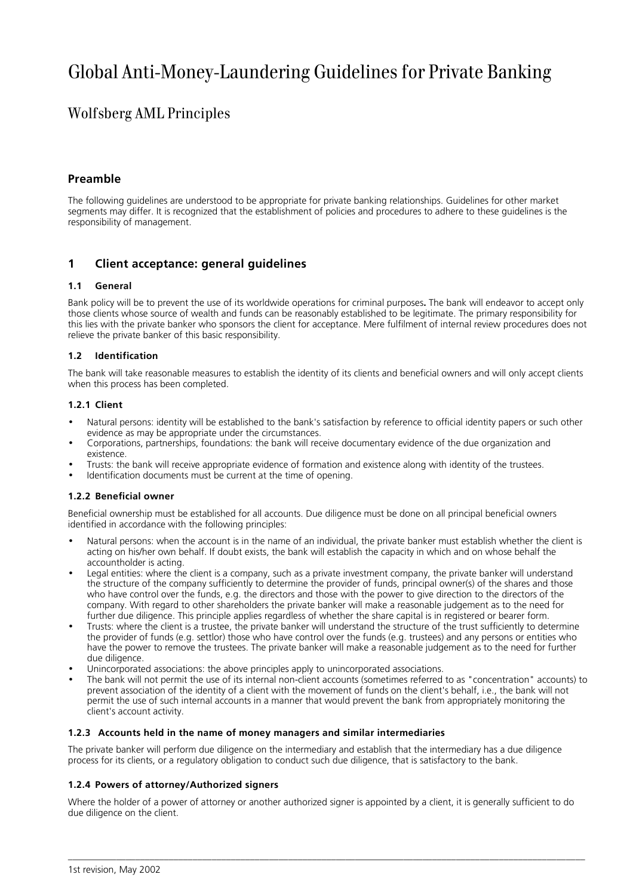# Global Anti-Money-Laundering Guidelines for Private Banking

## Wolfsberg AML Principles

## **Preamble**

The following guidelines are understood to be appropriate for private banking relationships. Guidelines for other market segments may differ. It is recognized that the establishment of policies and procedures to adhere to these guidelines is the responsibility of management.

## **1 Client acceptance: general guidelines**

#### **1.1 General**

Bank policy will be to prevent the use of its worldwide operations for criminal purposes**.** The bank will endeavor to accept only those clients whose source of wealth and funds can be reasonably established to be legitimate. The primary responsibility for this lies with the private banker who sponsors the client for acceptance. Mere fulfilment of internal review procedures does not relieve the private banker of this basic responsibility.

#### **1.2 Identification**

The bank will take reasonable measures to establish the identity of its clients and beneficial owners and will only accept clients when this process has been completed.

#### **1.2.1 Client**

- Natural persons: identity will be established to the bank's satisfaction by reference to official identity papers or such other evidence as may be appropriate under the circumstances.
- Corporations, partnerships, foundations: the bank will receive documentary evidence of the due organization and existence.
- Trusts: the bank will receive appropriate evidence of formation and existence along with identity of the trustees.
- Identification documents must be current at the time of opening.

#### **1.2.2 Beneficial owner**

Beneficial ownership must be established for all accounts. Due diligence must be done on all principal beneficial owners identified in accordance with the following principles:

- Natural persons: when the account is in the name of an individual, the private banker must establish whether the client is acting on his/her own behalf. If doubt exists, the bank will establish the capacity in which and on whose behalf the accountholder is acting.
- Legal entities: where the client is a company, such as a private investment company, the private banker will understand the structure of the company sufficiently to determine the provider of funds, principal owner(s) of the shares and those who have control over the funds, e.g. the directors and those with the power to give direction to the directors of the company. With regard to other shareholders the private banker will make a reasonable judgement as to the need for further due diligence. This principle applies regardless of whether the share capital is in registered or bearer form.
- Trusts: where the client is a trustee, the private banker will understand the structure of the trust sufficiently to determine the provider of funds (e.g. settlor) those who have control over the funds (e.g. trustees) and any persons or entities who have the power to remove the trustees. The private banker will make a reasonable judgement as to the need for further due diligence.
- Unincorporated associations: the above principles apply to unincorporated associations.
- The bank will not permit the use of its internal non-client accounts (sometimes referred to as "concentration" accounts) to prevent association of the identity of a client with the movement of funds on the client's behalf, i.e., the bank will not permit the use of such internal accounts in a manner that would prevent the bank from appropriately monitoring the client's account activity.

#### **1.2.3 Accounts held in the name of money managers and similar intermediaries**

The private banker will perform due diligence on the intermediary and establish that the intermediary has a due diligence process for its clients, or a regulatory obligation to conduct such due diligence, that is satisfactory to the bank.

#### **1.2.4 Powers of attorney/Authorized signers**

Where the holder of a power of attorney or another authorized signer is appointed by a client, it is generally sufficient to do due diligence on the client.

\_\_\_\_\_\_\_\_\_\_\_\_\_\_\_\_\_\_\_\_\_\_\_\_\_\_\_\_\_\_\_\_\_\_\_\_\_\_\_\_\_\_\_\_\_\_\_\_\_\_\_\_\_\_\_\_\_\_\_\_\_\_\_\_\_\_\_\_\_\_\_\_\_\_\_\_\_\_\_\_\_\_\_\_\_\_\_\_\_\_\_\_\_\_\_\_\_\_\_\_\_\_\_\_\_\_\_\_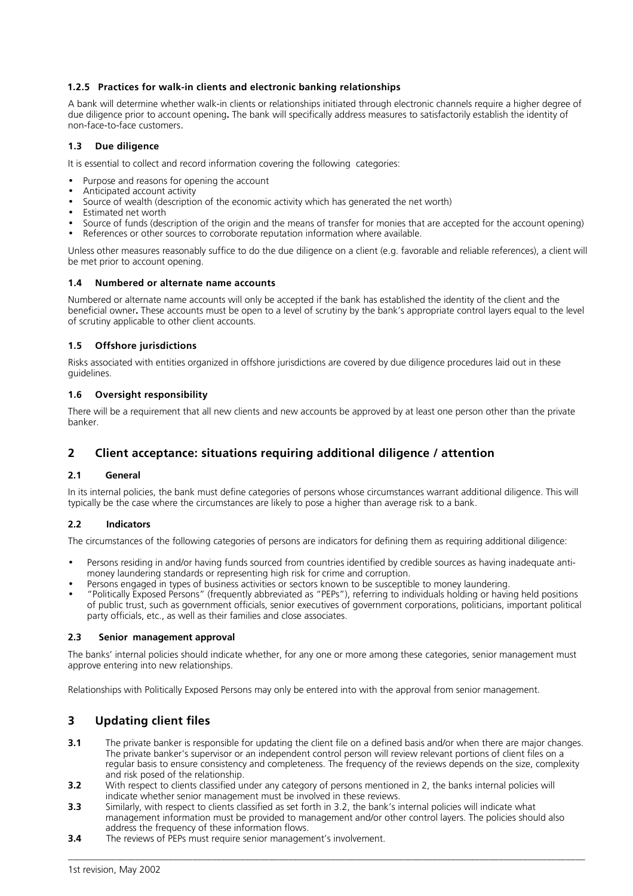#### **1.2.5 Practices for walk-in clients and electronic banking relationships**

A bank will determine whether walk-in clients or relationships initiated through electronic channels require a higher degree of due diligence prior to account opening**.** The bank will specifically address measures to satisfactorily establish the identity of non-face-to-face customers.

#### **1.3 Due diligence**

It is essential to collect and record information covering the following categories:

- Purpose and reasons for opening the account
- Anticipated account activity
- Source of wealth (description of the economic activity which has generated the net worth)
- Estimated net worth
- Source of funds (description of the origin and the means of transfer for monies that are accepted for the account opening)
- References or other sources to corroborate reputation information where available.

Unless other measures reasonably suffice to do the due diligence on a client (e.g. favorable and reliable references), a client will be met prior to account opening.

#### **1.4 Numbered or alternate name accounts**

Numbered or alternate name accounts will only be accepted if the bank has established the identity of the client and the beneficial owner**.** These accounts must be open to a level of scrutiny by the bankís appropriate control layers equal to the level of scrutiny applicable to other client accounts.

#### **1.5 Offshore jurisdictions**

Risks associated with entities organized in offshore jurisdictions are covered by due diligence procedures laid out in these guidelines.

#### **1.6 Oversight responsibility**

There will be a requirement that all new clients and new accounts be approved by at least one person other than the private banker.

## **2 Client acceptance: situations requiring additional diligence / attention**

#### **2.1 General**

In its internal policies, the bank must define categories of persons whose circumstances warrant additional diligence. This will typically be the case where the circumstances are likely to pose a higher than average risk to a bank.

#### **2.2 Indicators**

The circumstances of the following categories of persons are indicators for defining them as requiring additional diligence:

- Persons residing in and/or having funds sourced from countries identified by credible sources as having inadequate antimoney laundering standards or representing high risk for crime and corruption.
- Persons engaged in types of business activities or sectors known to be susceptible to money laundering.
- "Politically Exposed Persons" (frequently abbreviated as "PEPs"), referring to individuals holding or having held positions of public trust, such as government officials, senior executives of government corporations, politicians, important political party officials, etc., as well as their families and close associates.

#### **2.3 Senior management approval**

The banks' internal policies should indicate whether, for any one or more among these categories, senior management must approve entering into new relationships.

Relationships with Politically Exposed Persons may only be entered into with the approval from senior management.

## **3 Updating client files**

- **3.1** The private banker is responsible for updating the client file on a defined basis and/or when there are major changes. The private banker's supervisor or an independent control person will review relevant portions of client files on a regular basis to ensure consistency and completeness. The frequency of the reviews depends on the size, complexity and risk posed of the relationship.
- **3.2** With respect to clients classified under any category of persons mentioned in 2, the banks internal policies will indicate whether senior management must be involved in these reviews.
- **3.3** Similarly, with respect to clients classified as set forth in 3.2, the bank's internal policies will indicate what management information must be provided to management and/or other control layers. The policies should also address the frequency of these information flows.

\_\_\_\_\_\_\_\_\_\_\_\_\_\_\_\_\_\_\_\_\_\_\_\_\_\_\_\_\_\_\_\_\_\_\_\_\_\_\_\_\_\_\_\_\_\_\_\_\_\_\_\_\_\_\_\_\_\_\_\_\_\_\_\_\_\_\_\_\_\_\_\_\_\_\_\_\_\_\_\_\_\_\_\_\_\_\_\_\_\_\_\_\_\_\_\_\_\_\_\_\_\_\_\_\_\_\_\_

**3.4** The reviews of PEPs must require senior management's involvement.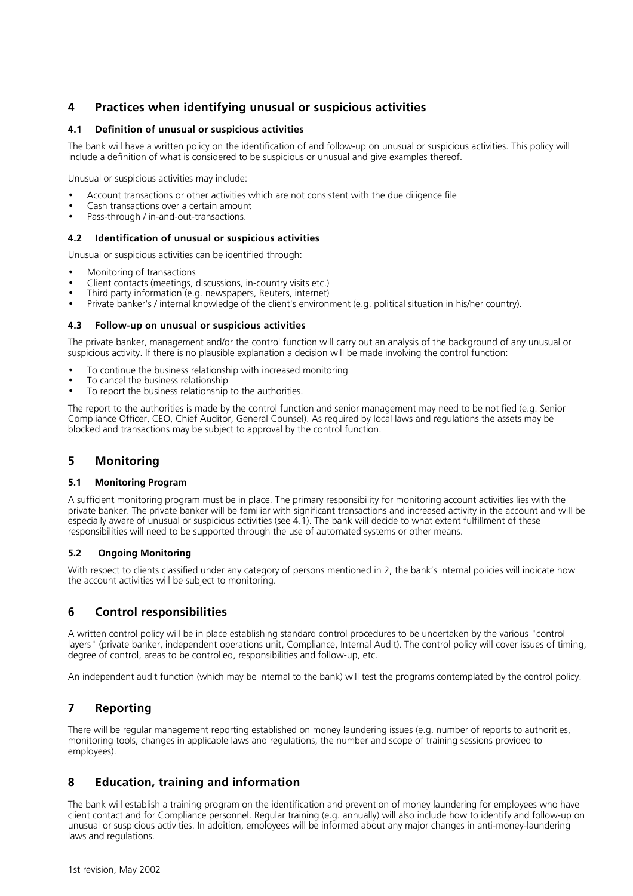## **4 Practices when identifying unusual or suspicious activities**

#### **4.1 Definition of unusual or suspicious activities**

The bank will have a written policy on the identification of and follow-up on unusual or suspicious activities. This policy will include a definition of what is considered to be suspicious or unusual and give examples thereof.

Unusual or suspicious activities may include:

- Account transactions or other activities which are not consistent with the due diligence file
- Cash transactions over a certain amount
- Pass-through / in-and-out-transactions.

#### **4.2 Identification of unusual or suspicious activities**

Unusual or suspicious activities can be identified through:

- Monitoring of transactions
- Client contacts (meetings, discussions, in-country visits etc.)
- Third party information (e.g. newspapers, Reuters, internet)
- Private banker's / internal knowledge of the client's environment (e.g. political situation in his/her country).

#### **4.3 Follow-up on unusual or suspicious activities**

The private banker, management and/or the control function will carry out an analysis of the background of any unusual or suspicious activity. If there is no plausible explanation a decision will be made involving the control function:

- To continue the business relationship with increased monitoring
- To cancel the business relationship
- To report the business relationship to the authorities.

The report to the authorities is made by the control function and senior management may need to be notified (e.g. Senior Compliance Officer, CEO, Chief Auditor, General Counsel). As required by local laws and regulations the assets may be blocked and transactions may be subject to approval by the control function.

## **5 Monitoring**

#### **5.1 Monitoring Program**

A sufficient monitoring program must be in place. The primary responsibility for monitoring account activities lies with the private banker. The private banker will be familiar with significant transactions and increased activity in the account and will be especially aware of unusual or suspicious activities (see 4.1). The bank will decide to what extent fulfillment of these responsibilities will need to be supported through the use of automated systems or other means.

#### **5.2 Ongoing Monitoring**

With respect to clients classified under any category of persons mentioned in 2, the bank's internal policies will indicate how the account activities will be subject to monitoring.

## **6 Control responsibilities**

A written control policy will be in place establishing standard control procedures to be undertaken by the various "control layers" (private banker, independent operations unit, Compliance, Internal Audit). The control policy will cover issues of timing, degree of control, areas to be controlled, responsibilities and follow-up, etc.

An independent audit function (which may be internal to the bank) will test the programs contemplated by the control policy.

## **7 Reporting**

There will be regular management reporting established on money laundering issues (e.g. number of reports to authorities, monitoring tools, changes in applicable laws and regulations, the number and scope of training sessions provided to employees).

## **8 Education, training and information**

The bank will establish a training program on the identification and prevention of money laundering for employees who have client contact and for Compliance personnel. Regular training (e.g. annually) will also include how to identify and follow-up on unusual or suspicious activities. In addition, employees will be informed about any major changes in anti-money-laundering laws and regulations.

\_\_\_\_\_\_\_\_\_\_\_\_\_\_\_\_\_\_\_\_\_\_\_\_\_\_\_\_\_\_\_\_\_\_\_\_\_\_\_\_\_\_\_\_\_\_\_\_\_\_\_\_\_\_\_\_\_\_\_\_\_\_\_\_\_\_\_\_\_\_\_\_\_\_\_\_\_\_\_\_\_\_\_\_\_\_\_\_\_\_\_\_\_\_\_\_\_\_\_\_\_\_\_\_\_\_\_\_